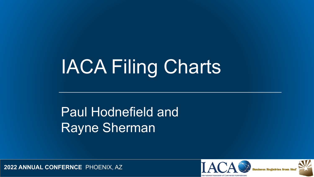# IACA Filing Charts

#### Paul Hodnefield and Rayne Sherman



**2022 ANNUAL CONFERNCE** PHOENIX, AZ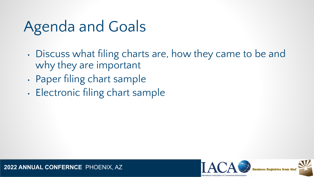#### Agenda and Goals

- Discuss what filing charts are, how they came to be and why they are important
- Paper filing chart sample
- Electronic filing chart sample



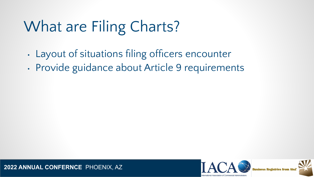### What are Filing Charts?

- Layout of situations filing officers encounter
- Provide guidance about Article 9 requirements



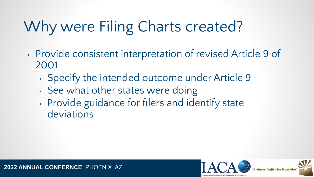## Why were Filing Charts created?

- Provide consistent interpretation of revised Article 9 of 2001.
	- Specify the intended outcome under Article 9
	- See what other states were doing
	- Provide guidance for filers and identify state deviations

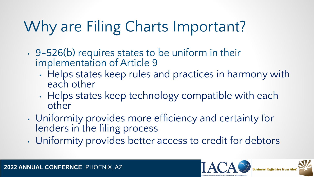## Why are Filing Charts Important?

- 9-526(b) requires states to be uniform in their implementation of Article 9
	- Helps states keep rules and practices in harmony with each other
	- Helps states keep technology compatible with each other
- Uniformity provides more efficiency and certainty for lenders in the filing process
- Uniformity provides better access to credit for debtors

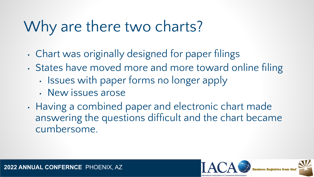### Why are there two charts?

- Chart was originally designed for paper filings
- States have moved more and more toward online filing
	- Issues with paper forms no longer apply
	- New issues arose
- Having a combined paper and electronic chart made answering the questions difficult and the chart became cumbersome.